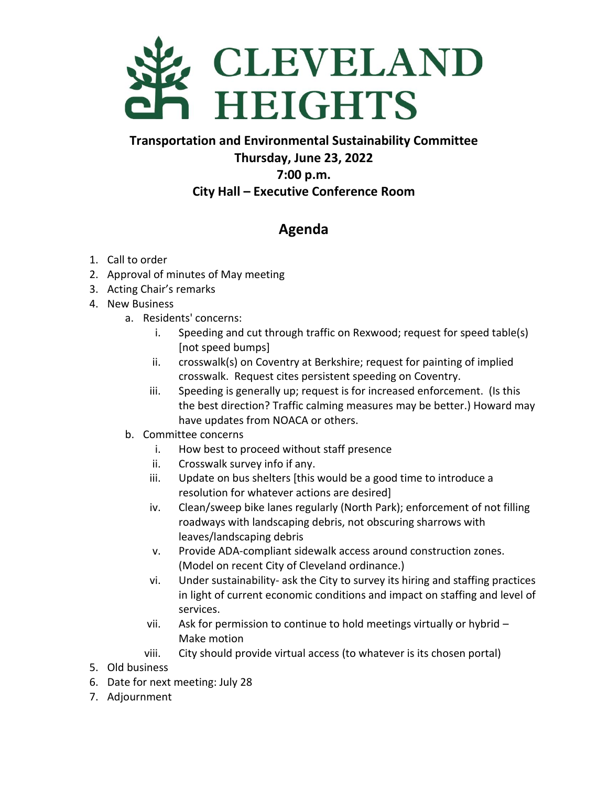

**Transportation and Environmental Sustainability Committee Thursday, June 23, 2022 7:00 p.m. City Hall – Executive Conference Room**

## **Agenda**

- 1. Call to order
- 2. Approval of minutes of May meeting
- 3. Acting Chair's remarks
- 4. New Business
	- a. Residents' concerns:
		- i. Speeding and cut through traffic on Rexwood; request for speed table(s) [not speed bumps]
		- ii. crosswalk(s) on Coventry at Berkshire; request for painting of implied crosswalk. Request cites persistent speeding on Coventry.
		- iii. Speeding is generally up; request is for increased enforcement. (Is this the best direction? Traffic calming measures may be better.) Howard may have updates from NOACA or others.
	- b. Committee concerns
		- i. How best to proceed without staff presence
		- ii. Crosswalk survey info if any.
		- iii. Update on bus shelters [this would be a good time to introduce a resolution for whatever actions are desired]
		- iv. Clean/sweep bike lanes regularly (North Park); enforcement of not filling roadways with landscaping debris, not obscuring sharrows with leaves/landscaping debris
		- v. Provide ADA-compliant sidewalk access around construction zones. (Model on recent City of Cleveland ordinance.)
		- vi. Under sustainability- ask the City to survey its hiring and staffing practices in light of current economic conditions and impact on staffing and level of services.
		- vii. Ask for permission to continue to hold meetings virtually or hybrid Make motion
		- viii. City should provide virtual access (to whatever is its chosen portal)
- 5. Old business
- 6. Date for next meeting: July 28
- 7. Adjournment